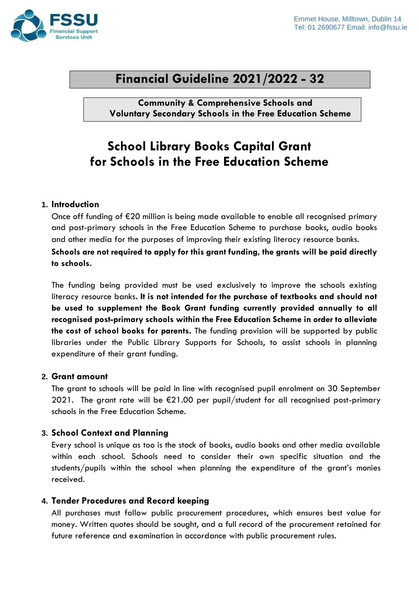

# **Financial Guideline 2021/2022 - 32**

**Community & Comprehensive Schools and Voluntary Secondary Schools in the Free Education Scheme**

# **School Library Books Capital Grant for Schools in the Free Education Scheme**

### **1. Introduction**

Once off funding of €20 million is being made available to enable all recognised primary and post-primary schools in the Free Education Scheme to purchase books, audio books and other media for the purposes of improving their existing literacy resource banks.

**Schools are not required to apply for this grant funding, the grants will be paid directly to schools.**

The funding being provided must be used exclusively to improve the schools existing literacy resource banks**. It is not intended for the purchase of textbooks and should not be used to supplement the Book Grant funding currently provided annually to all recognised post-primary schools within the Free Education Scheme in order to alleviate the cost of school books for parents.** The funding provision will be supported by public libraries under the Public Library Supports for Schools, to assist schools in planning expenditure of their grant funding.

#### **2. Grant amount**

The grant to schools will be paid in line with recognised pupil enrolment on 30 September 2021. The grant rate will be  $\epsilon$ 21.00 per pupil/student for all recognised post-primary schools in the Free Education Scheme.

## **3. School Context and Planning**

Every school is unique as too is the stock of books, audio books and other media available within each school. Schools need to consider their own specific situation and the students/pupils within the school when planning the expenditure of the grant's monies received.

## **4. Tender Procedures and Record keeping**

All purchases must follow public procurement procedures, which ensures best value for money. Written quotes should be sought, and a full record of the procurement retained for future reference and examination in accordance with public procurement rules.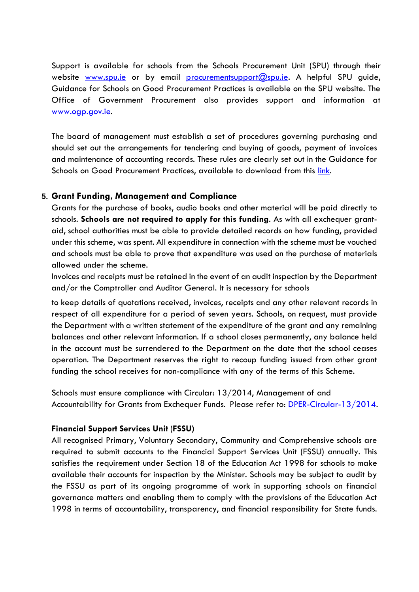Support is available for schools from the Schools Procurement Unit (SPU) through their website [www.spu.ie](http://www.spu.ie/) or by email [procurementsupport@spu.ie.](mailto:%20procurementsupport@spu.ie) A helpful SPU guide, Guidance for Schools on Good Procurement Practices is available on the SPU website. The Office of Government Procurement also provides support and information at [www.ogp.gov.ie.](http://www.ogp.gov.ie/)

The board of management must establish a set of procedures governing purchasing and should set out the arrangements for tendering and buying of goods, payment of invoices and maintenance of accounting records. These rules are clearly set out in the Guidance for Schools on Good Procurement Practices, available to download from this [link.](https://www.spu.ie/publications-2/procurement-guide/)

#### **5. Grant Funding, Management and Compliance**

Grants for the purchase of books, audio books and other material will be paid directly to schools. **Schools are not required to apply for this funding**. As with all exchequer grantaid, school authorities must be able to provide detailed records on how funding, provided under this scheme, was spent. All expenditure in connection with the scheme must be vouched and schools must be able to prove that expenditure was used on the purchase of materials allowed under the scheme.

Invoices and receipts must be retained in the event of an audit inspection by the Department and/or the Comptroller and Auditor General. It is necessary for schools

to keep details of quotations received, invoices, receipts and any other relevant records in respect of all expenditure for a period of seven years. Schools, on request, must provide the Department with a written statement of the expenditure of the grant and any remaining balances and other relevant information. If a school closes permanently, any balance held in the account must be surrendered to the Department on the date that the school ceases operation. The Department reserves the right to recoup funding issued from other grant funding the school receives for non-compliance with any of the terms of this Scheme.

Schools must ensure compliance with Circular: 13/2014, Management of and Accountability for Grants from Exchequer Funds. Please refer to: <u>DPER-Circular-13/2014</u>.

#### **Financial Support Services Unit** (**FSSU)**

All recognised Primary, Voluntary Secondary, Community and Comprehensive schools are required to submit accounts to the Financial Support Services Unit (FSSU) annually. This satisfies the requirement under Section 18 of the Education Act 1998 for schools to make available their accounts for inspection by the Minister. Schools may be subject to audit by the FSSU as part of its ongoing programme of work in supporting schools on financial governance matters and enabling them to comply with the provisions of the Education Act 1998 in terms of accountability, transparency, and financial responsibility for State funds.